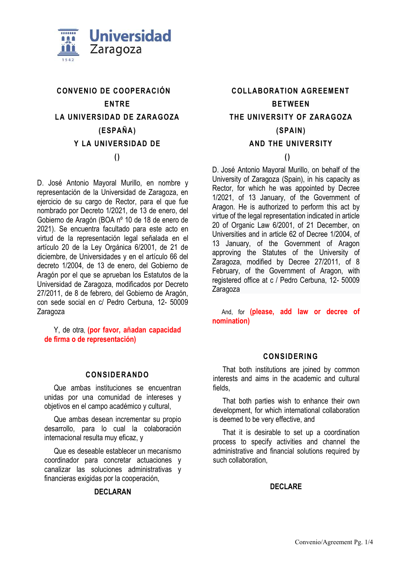

# **CONVENIO DE COOPERACIÓN ENTRE LA UNIVERSIDAD DE ZARAGOZA (ESPAÑA) Y LA UNIVERSIDAD DE ()**

D. José Antonio Mayoral Murillo, en nombre y representación de la Universidad de Zaragoza, en ejercicio de su cargo de Rector, para el que fue nombrado por Decreto 1/2021, de 13 de enero, del Gobierno de Aragón (BOA nº 10 de 18 de enero de 2021). Se encuentra facultado para este acto en virtud de la representación legal señalada en el artículo 20 de la Ley Orgánica 6/2001, de 21 de diciembre, de Universidades y en el artículo 66 del decreto 1/2004, de 13 de enero, del Gobierno de Aragón por el que se aprueban los Estatutos de la Universidad de Zaragoza, modificados por Decreto 27/2011, de 8 de febrero, del Gobierno de Aragón, con sede social en c/ Pedro Cerbuna, 12- 50009 Zaragoza

Y, de otra, **(por favor, añadan capacidad de firma o de representación)**

### **CONSIDERANDO**

Que ambas instituciones se encuentran unidas por una comunidad de intereses y objetivos en el campo académico y cultural,

Que ambas desean incrementar su propio desarrollo, para lo cual la colaboración internacional resulta muy eficaz, y

Que es deseable establecer un mecanismo coordinador para concretar actuaciones y canalizar las soluciones administrativas y financieras exigidas por la cooperación,

### **DECLARAN**

**COLLABORATION AGREEMENT BETWEEN THE UNIVERSITY OF ZARAGOZA (SPAIN) AND THE UNIVERSITY** 

## **()**

D. José Antonio Mayoral Murillo, on behalf of the University of Zaragoza (Spain), in his capacity as Rector, for which he was appointed by Decree 1/2021, of 13 January, of the Government of Aragon. He is authorized to perform this act by virtue of the legal representation indicated in article 20 of Organic Law 6/2001, of 21 December, on Universities and in article 62 of Decree 1/2004, of 13 January, of the Government of Aragon approving the Statutes of the University of Zaragoza, modified by Decree 27/2011, of 8 February, of the Government of Aragon, with registered office at c / Pedro Cerbuna, 12- 50009 Zaragoza

And, for **(please, add law or decree of nomination)**

### **CONSIDERING**

That both institutions are joined by common interests and aims in the academic and cultural fields,

That both parties wish to enhance their own development, for which international collaboration is deemed to be very effective, and

That it is desirable to set up a coordination process to specify activities and channel the administrative and financial solutions required by such collaboration,

### **DECLARE**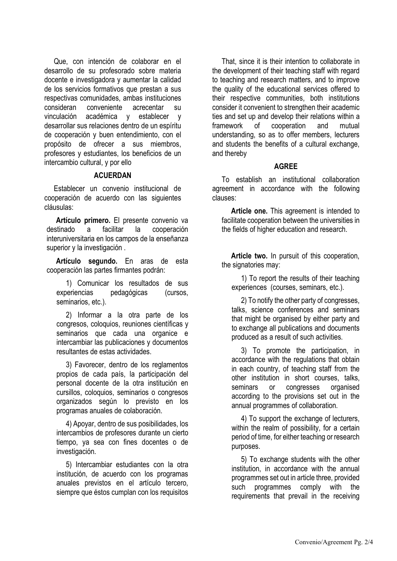Que, con intención de colaborar en el desarrollo de su profesorado sobre materia docente e investigadora y aumentar la calidad de los servicios formativos que prestan a sus respectivas comunidades, ambas instituciones consideran conveniente acrecentar su vinculación académica y establecer y desarrollar sus relaciones dentro de un espíritu de cooperación y buen entendimiento, con el propósito de ofrecer a sus miembros, profesores y estudiantes, los beneficios de un intercambio cultural, y por ello

#### **ACUERDAN**

Establecer un convenio institucional de cooperación de acuerdo con las siguientes cláusulas:

**Artículo primero.** El presente convenio va destinado a facilitar la cooperación interuniversitaria en los campos de la enseñanza superior y la investigación.

**Artículo segundo.** En aras de esta cooperación las partes firmantes podrán:

1) Comunicar los resultados de sus experiencias pedagógicas (cursos, seminarios, etc.).

2) Informar a la otra parte de los congresos, coloquios, reuniones científicas y seminarios que cada una organice e intercambiar las publicaciones y documentos resultantes de estas actividades.

3) Favorecer, dentro de los reglamentos propios de cada país, la participación del personal docente de la otra institución en cursillos, coloquios, seminarios o congresos organizados según lo previsto en los programas anuales de colaboración.

4) Apoyar, dentro de sus posibilidades, los intercambios de profesores durante un cierto tiempo, ya sea con fines docentes o de investigación.

5) Intercambiar estudiantes con la otra institución, de acuerdo con los programas anuales previstos en el artículo tercero, siempre que éstos cumplan con los requisitos

That, since it is their intention to collaborate in the development of their teaching staff with regard to teaching and research matters, and to improve the quality of the educational services offered to their respective communities, both institutions consider it convenient to strengthen their academic ties and set up and develop their relations within a framework of cooperation and mutual understanding, so as to offer members, lecturers and students the benefits of a cultural exchange, and thereby

### **AGREE**

To establish an institutional collaboration agreement in accordance with the following clauses:

**Article one.** This agreement is intended to facilitate cooperation between the universities in the fields of higher education and research.

**Article two.** In pursuit of this cooperation, the signatories may:

1) To report the results of their teaching experiences (courses, seminars, etc.).

2) To notify the other party of congresses, talks, science conferences and seminars that might be organised by either party and to exchange all publications and documents produced as a result of such activities.

3) To promote the participation, in accordance with the regulations that obtain in each country, of teaching staff from the other institution in short courses, talks, seminars or congresses organised according to the provisions set out in the annual programmes of collaboration.

4) To support the exchange of lecturers, within the realm of possibility, for a certain period of time, for either teaching or research purposes.

5) To exchange students with the other institution, in accordance with the annual programmes set out in article three, provided such programmes comply with the requirements that prevail in the receiving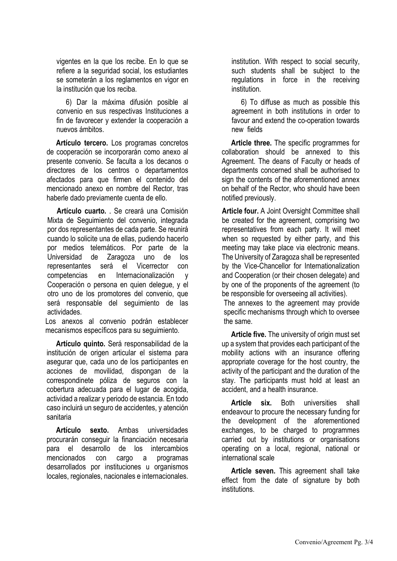vigentes en la que los recibe. En lo que se refiere a la seguridad social, los estudiantes se someterán a los reglamentos en vigor en la institución que los reciba.

6) Dar la máxima difusión posible al convenio en sus respectivas Instituciones a fin de favorecer y extender la cooperación a nuevos ámbitos.

**Artículo tercero.** Los programas concretos de cooperación se incorporarán como anexo al presente convenio. Se faculta a los decanos o directores de los centros o departamentos afectados para que firmen el contenido del mencionado anexo en nombre del Rector, tras haberle dado previamente cuenta de ello.

**Artículo cuarto. .** Se creará una Comisión Mixta de Seguimiento del convenio, integrada por dos representantes de cada parte. Se reunirá cuando lo solicite una de ellas, pudiendo hacerlo por medios telemáticos. Por parte de la Universidad de Zaragoza uno de los representantes será el Vicerrector con competencias en Internacionalización y Cooperación o persona en quien delegue, y el otro uno de los promotores del convenio, que será responsable del seguimiento de las actividades.

Los anexos al convenio podrán establecer mecanismos específicos para su seguimiento.

**Artículo quinto.** Será responsabilidad de la institución de origen articular el sistema para asegurar que, cada uno de los participantes en acciones de movilidad, dispongan de la correspondinete póliza de seguros con la cobertura adecuada para el lugar de acogida, actividad a realizar y periodo de estancia. En todo caso incluirá un seguro de accidentes, y atención sanitaria

**Artículo sexto.** Ambas universidades procurarán conseguir la financiación necesaria para el desarrollo de los intercambios mencionados con cargo a programas desarrollados por instituciones u organismos locales, regionales, nacionales e internacionales. institution. With respect to social security, such students shall be subject to the regulations in force in the receiving institution.

6) To diffuse as much as possible this agreement in both institutions in order to favour and extend the co-operation towards new fields

**Article three.** The specific programmes for collaboration should be annexed to this Agreement. The deans of Faculty or heads of departments concerned shall be authorised to sign the contents of the aforementioned annex on behalf of the Rector, who should have been notified previously.

**Article four.** A Joint Oversight Committee shall be created for the agreement, comprising two representatives from each party. It will meet when so requested by either party, and this meeting may take place via electronic means. The University of Zaragoza shall be represented by the Vice-Chancellor for Internationalization and Cooperation (or their chosen delegate) and by one of the proponents of the agreement (to be responsible for overseeing all activities).

The annexes to the agreement may provide specific mechanisms through which to oversee the same.

**Article five.** The university of origin must set up a system that provides each participant of the mobility actions with an insurance offering appropriate coverage for the host country, the activity of the participant and the duration of the stay. The participants must hold at least an accident, and a health insurance.

**Article six.** Both universities shall endeavour to procure the necessary funding for the development of the aforementioned exchanges, to be charged to programmes carried out by institutions or organisations operating on a local, regional, national or international scale

**Article seven.** This agreement shall take effect from the date of signature by both institutions.